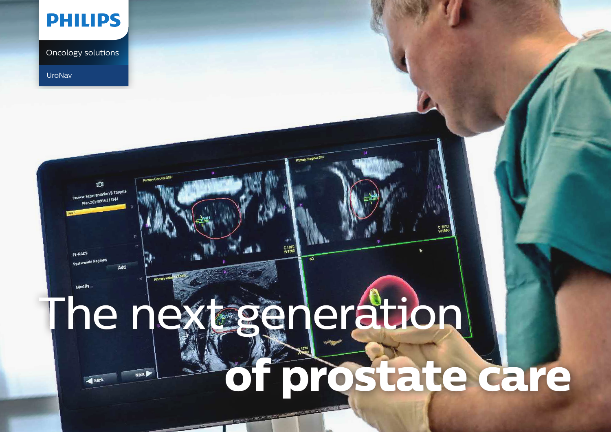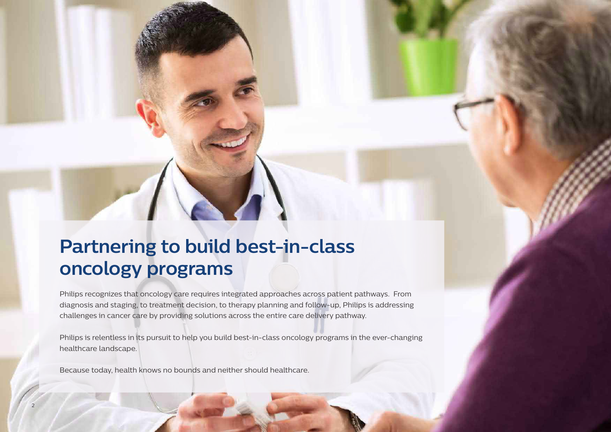## **Partnering to build best-in-class oncology programs**

Philips recognizes that oncology care requires integrated approaches across patient pathways. From diagnosis and staging, to treatment decision, to therapy planning and follow-up, Philips is addressing challenges in cancer care by providing solutions across the entire care delivery pathway.

Philips is relentless in its pursuit to help you build best-in-class oncology programs in the ever-changing healthcare landscape.

Because today, health knows no bounds and neither should healthcare.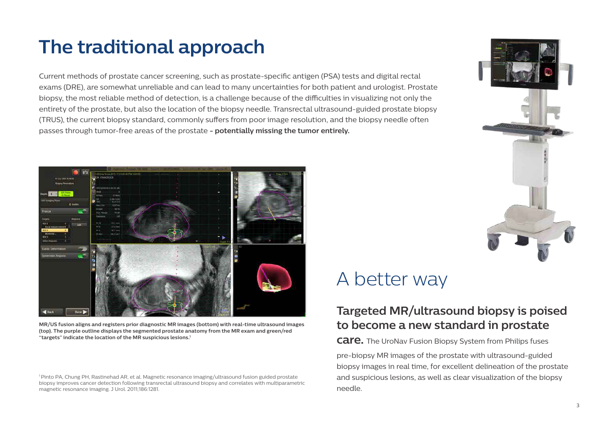## **The traditional approach**

Current methods of prostate cancer screening, such as prostate-specific antigen (PSA) tests and digital rectal exams (DRE), are somewhat unreliable and can lead to many uncertainties for both patient and urologist. Prostate biopsy, the most reliable method of detection, is a challenge because of the difficulties in visualizing not only the entirety of the prostate, but also the location of the biopsy needle. Transrectal ultrasound-guided prostate biopsy (TRUS), the current biopsy standard, commonly suffers from poor image resolution, and the biopsy needle often passes through tumor-free areas of the prostate **- potentially missing the tumor entirely.**



**MR/US fusion aligns and registers prior diagnostic MR images (bottom) with real-time ultrasound images (top). The purple outline displays the segmented prostate anatomy from the MR exam and green/red "targets" indicate the location of the MR suspicious lesions.1**

1 Pinto PA, Chung PH, Rastinehad AR, et al. Magnetic resonance imaging/ultrasound fusion guided prostate biopsy improves cancer detection following transrectal ultrasound biopsy and correlates with multiparametric magnetic resonance imaging. J Urol. 2011;186:1281.



#### A better way

#### **Targeted MR/ultrasound biopsy is poised to become a new standard in prostate**

**care.** The UroNav Fusion Biopsy System from Philips fuses

pre-biopsy MR images of the prostate with ultrasound-guided biopsy images in real time, for excellent delineation of the prostate and suspicious lesions, as well as clear visualization of the biopsy needle.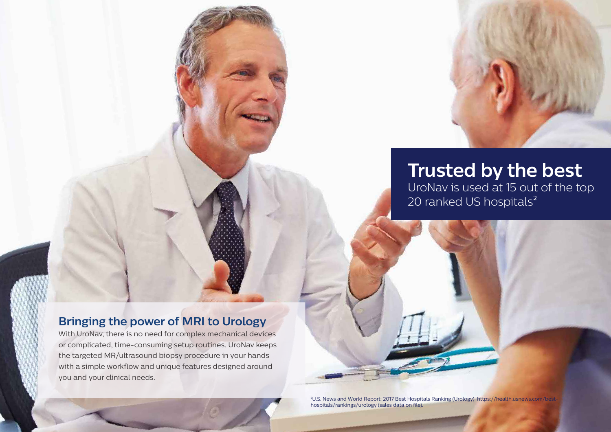

# **Trusted by the best**

UroNav is used at 15 out of the top 20 ranked US hospitals<sup>2</sup>

#### **Bringing the power of MRI to Urology**

With UroNav, there is no need for complex mechanical devices or complicated, time-consuming setup routines. UroNav keeps the targeted MR/ultrasound biopsy procedure in your hands with a simple workflow and unique features designed around you and your clinical needs.

> 2 U.S. News and World Report: 2017 Best Hospitals Ranking (Urology) https://health.usnews.com/besthospitals/rankings/urology (sales data on file).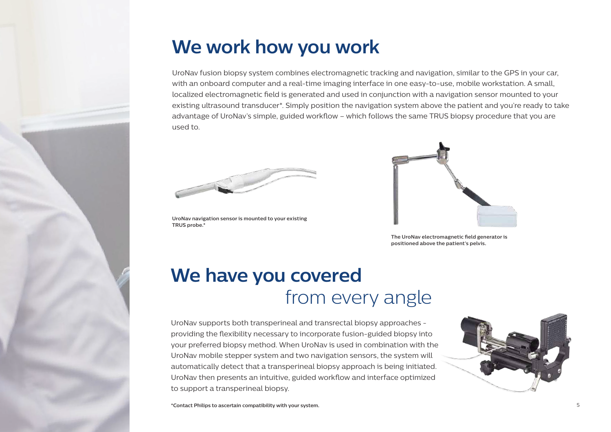

#### **We work how you work**

UroNav fusion biopsy system combines electromagnetic tracking and navigation, similar to the GPS in your car, with an onboard computer and a real-time imaging interface in one easy-to-use, mobile workstation. A small, localized electromagnetic field is generated and used in conjunction with a navigation sensor mounted to your existing ultrasound transducer\*. Simply position the navigation system above the patient and you're ready to take advantage of UroNav's simple, guided workflow – which follows the same TRUS biopsy procedure that you are used to.



**UroNav navigation sensor is mounted to your existing TRUS probe.\***



**The UroNav electromagnetic field generator is positioned above the patient's pelvis.**

#### **We have you covered** from every angle

UroNav supports both transperineal and transrectal biopsy approaches providing the flexibility necessary to incorporate fusion-guided biopsy into your preferred biopsy method. When UroNav is used in combination with the UroNav mobile stepper system and two navigation sensors, the system will automatically detect that a transperineal biopsy approach is being initiated. UroNav then presents an intuitive, guided workflow and interface optimized to support a transperineal biopsy.

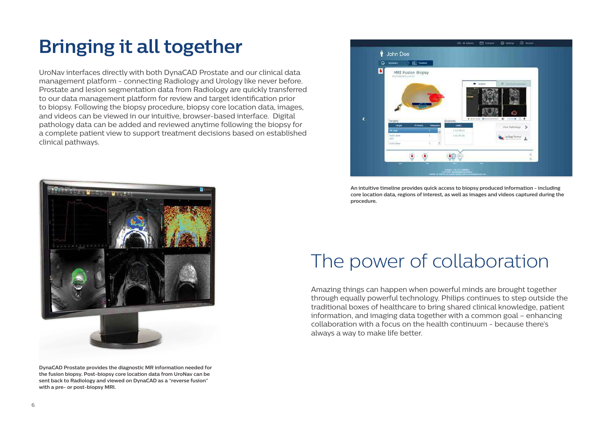# **Bringing it all together**

UroNav interfaces directly with both DynaCAD Prostate and our clinical data management platform - connecting Radiology and Urology like never before. Prostate and lesion segmentation data from Radiology are quickly transferred to our data management platform for review and target identification prior to biopsy. Following the biopsy procedure, biopsy core location data, images, and videos can be viewed in our intuitive, browser-based interface. Digital pathology data can be added and reviewed anytime following the biopsy for a complete patient view to support treatment decisions based on established clinical pathways.



**DynaCAD Prostate provides the diagnostic MR information needed for the fusion biopsy. Post-biopsy core location data from UroNav can be sent back to Radiology and viewed on DynaCAD as a "reverse fusion" with a pre- or post-biopsy MRI.**



**An intuitive timeline provides quick access to biopsy produced information - including core location data, regions of interest, as well as images and videos captured during the procedure.**

### The power of collaboration

Amazing things can happen when powerful minds are brought together through equally powerful technology. Philips continues to step outside the traditional boxes of healthcare to bring shared clinical knowledge, patient information, and imaging data together with a common goal – enhancing collaboration with a focus on the health continuum - because there's always a way to make life better.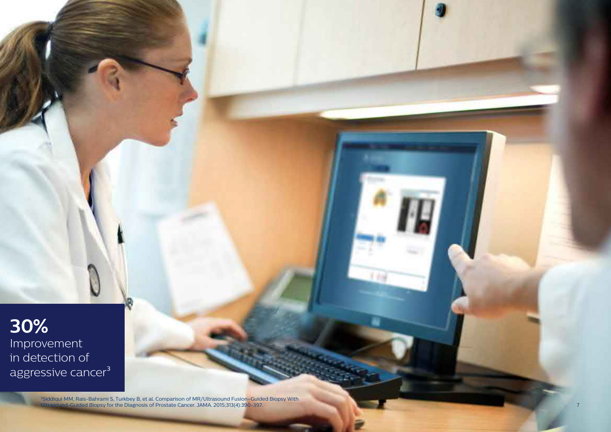#### **30%** Improvement in detection of aggressive cancer<sup>3</sup>

3Siddiqui MM, Rais-Bahrami S, Turkbey B, et al. Comparison of MR/Ultrasound Fusion–Guided Biopsy With Ultrasound-Guided Biopsy for the Diagnosis of Prostate Cancer. JAMA. 2015;313(4):390-397.